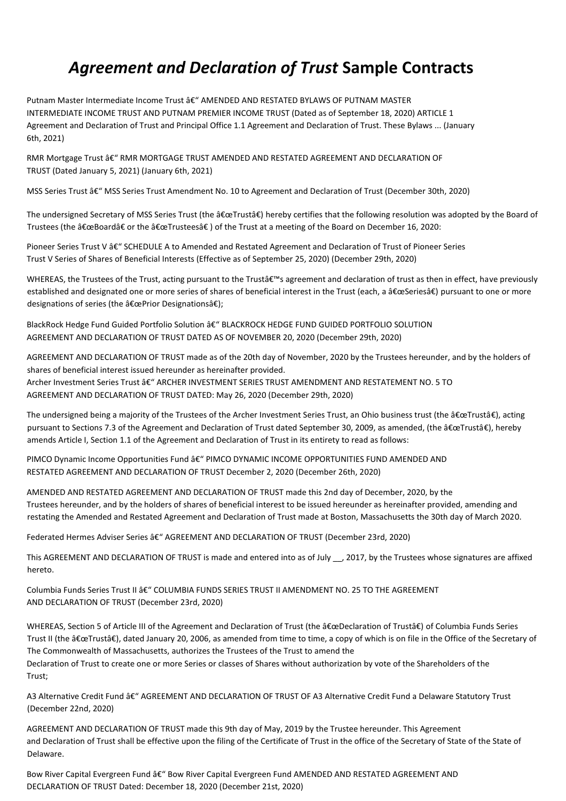## *Agreement and Declaration of Trust* **Sample Contracts**

Putnam Master Intermediate Income Trust â€" AMENDED AND RESTATED BYLAWS OF PUTNAM MASTER INTERMEDIATE INCOME TRUST AND PUTNAM PREMIER INCOME TRUST (Dated as of September 18, 2020) ARTICLE 1 Agreement and Declaration of Trust and Principal Office 1.1 Agreement and Declaration of Trust. These Bylaws ... (January 6th, 2021)

RMR Mortgage Trust â€" RMR MORTGAGE TRUST AMENDED AND RESTATED AGREEMENT AND DECLARATION OF TRUST (Dated January 5, 2021) (January 6th, 2021)

MSS Series Trust â€" MSS Series Trust Amendment No. 10 to Agreement and Declaration of Trust (December 30th, 2020)

The undersigned Secretary of MSS Series Trust (the "Trustâ€) hereby certifies that the following resolution was adopted by the Board of Trustees (the "Board†or the "Trusteesâ€) of the Trust at a meeting of the Board on December 16, 2020:

Pioneer Series Trust V â€" SCHEDULE A to Amended and Restated Agreement and Declaration of Trust of Pioneer Series Trust V Series of Shares of Beneficial Interests (Effective as of September 25, 2020) (December 29th, 2020)

WHEREAS, the Trustees of the Trust, acting pursuant to the Trust's agreement and declaration of trust as then in effect, have previously established and designated one or more series of shares of beneficial interest in the Trust (each, a "Seriesâ€) pursuant to one or more designations of series (the "Prior Designationsâ€);

BlackRock Hedge Fund Guided Portfolio Solution â€" BLACKROCK HEDGE FUND GUIDED PORTFOLIO SOLUTION AGREEMENT AND DECLARATION OF TRUST DATED AS OF NOVEMBER 20, 2020 (December 29th, 2020)

AGREEMENT AND DECLARATION OF TRUST made as of the 20th day of November, 2020 by the Trustees hereunder, and by the holders of shares of beneficial interest issued hereunder as hereinafter provided. Archer Investment Series Trust â€" ARCHER INVESTMENT SERIES TRUST AMENDMENT AND RESTATEMENT NO. 5 TO AGREEMENT AND DECLARATION OF TRUST DATED: May 26, 2020 (December 29th, 2020)

The undersigned being a majority of the Trustees of the Archer Investment Series Trust, an Ohio business trust (the "Trustâ€), acting pursuant to Sections 7.3 of the Agreement and Declaration of Trust dated September 30, 2009, as amended, (the "Trustâ€), hereby amends Article I, Section 1.1 of the Agreement and Declaration of Trust in its entirety to read as follows:

PIMCO Dynamic Income Opportunities Fund â€" PIMCO DYNAMIC INCOME OPPORTUNITIES FUND AMENDED AND RESTATED AGREEMENT AND DECLARATION OF TRUST December 2, 2020 (December 26th, 2020)

AMENDED AND RESTATED AGREEMENT AND DECLARATION OF TRUST made this 2nd day of December, 2020, by the Trustees hereunder, and by the holders of shares of beneficial interest to be issued hereunder as hereinafter provided, amending and restating the Amended and Restated Agreement and Declaration of Trust made at Boston, Massachusetts the 30th day of March 2020.

Federated Hermes Adviser Series â€" AGREEMENT AND DECLARATION OF TRUST (December 23rd, 2020)

This AGREEMENT AND DECLARATION OF TRUST is made and entered into as of July \_\_, 2017, by the Trustees whose signatures are affixed hereto.

Columbia Funds Series Trust II â€" COLUMBIA FUNDS SERIES TRUST II AMENDMENT NO. 25 TO THE AGREEMENT AND DECLARATION OF TRUST (December 23rd, 2020)

WHEREAS, Section 5 of Article III of the Agreement and Declaration of Trust (the "Declaration of Trustâ€) of Columbia Funds Series Trust II (the "Trustâ€), dated January 20, 2006, as amended from time to time, a copy of which is on file in the Office of the Secretary of The Commonwealth of Massachusetts, authorizes the Trustees of the Trust to amend the Declaration of Trust to create one or more Series or classes of Shares without authorization by vote of the Shareholders of the Trust;

A3 Alternative Credit Fund â€" AGREEMENT AND DECLARATION OF TRUST OF A3 Alternative Credit Fund a Delaware Statutory Trust (December 22nd, 2020)

AGREEMENT AND DECLARATION OF TRUST made this 9th day of May, 2019 by the Trustee hereunder. This Agreement and Declaration of Trust shall be effective upon the filing of the Certificate of Trust in the office of the Secretary of State of the State of Delaware.

Bow River Capital Evergreen Fund â€" Bow River Capital Evergreen Fund AMENDED AND RESTATED AGREEMENT AND DECLARATION OF TRUST Dated: December 18, 2020 (December 21st, 2020)